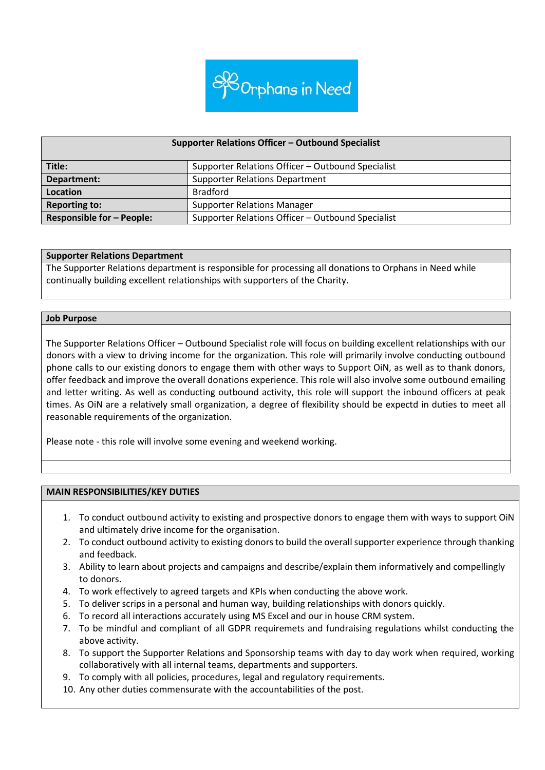

#### **Supporter Relations Officer – Outbound Specialist**

| Title:                           | Supporter Relations Officer - Outbound Specialist |
|----------------------------------|---------------------------------------------------|
| Department:                      | <b>Supporter Relations Department</b>             |
| Location                         | <b>Bradford</b>                                   |
| <b>Reporting to:</b>             | <b>Supporter Relations Manager</b>                |
| <b>Responsible for - People:</b> | Supporter Relations Officer - Outbound Specialist |

#### **Supporter Relations Department**

The Supporter Relations department is responsible for processing all donations to Orphans in Need while continually building excellent relationships with supporters of the Charity.

#### **Job Purpose**

The Supporter Relations Officer – Outbound Specialist role will focus on building excellent relationships with our donors with a view to driving income for the organization. This role will primarily involve conducting outbound phone calls to our existing donors to engage them with other ways to Support OiN, as well as to thank donors, offer feedback and improve the overall donations experience. This role will also involve some outbound emailing and letter writing. As well as conducting outbound activity, this role will support the inbound officers at peak times. As OiN are a relatively small organization, a degree of flexibility should be expectd in duties to meet all reasonable requirements of the organization.

Please note - this role will involve some evening and weekend working.

## **MAIN RESPONSIBILITIES/KEY DUTIES**

- 1. To conduct outbound activity to existing and prospective donors to engage them with ways to support OiN and ultimately drive income for the organisation.
- 2. To conduct outbound activity to existing donors to build the overall supporter experience through thanking and feedback.
- 3. Ability to learn about projects and campaigns and describe/explain them informatively and compellingly to donors.
- 4. To work effectively to agreed targets and KPIs when conducting the above work.
- 5. To deliver scrips in a personal and human way, building relationships with donors quickly.
- 6. To record all interactions accurately using MS Excel and our in house CRM system.
- 7. To be mindful and compliant of all GDPR requiremets and fundraising regulations whilst conducting the above activity.
- 8. To support the Supporter Relations and Sponsorship teams with day to day work when required, working collaboratively with all internal teams, departments and supporters.
- 9. To comply with all policies, procedures, legal and regulatory requirements.
- 10. Any other duties commensurate with the accountabilities of the post.